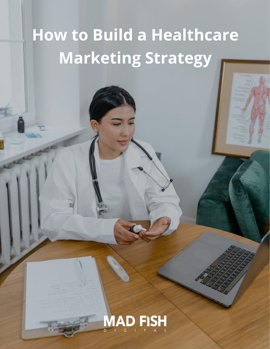# **How to Build a Healthcare Marketing Strategy**

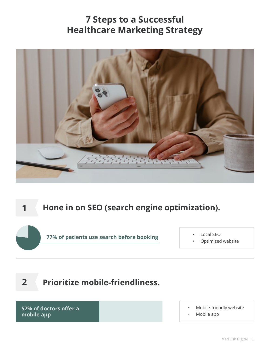## **7 Steps to a Successful Healthcare Marketing Strategy**



# **1 Hone in on SEO (search engine optimization).**

**[77%](https://searchengineland.com/77-percent-of-online-health-seekers-start-at-search-engines-pew-study-145105) of patients use search before booking**

- Local SEO
- Optimized website

### **2 Prioritize mobile-friendliness.**

**[57%](https://www.managedhealthcareexecutive.com/view/patients-want-mobile-healthcare-options) of doctors offer a mobile app**

- Mobile-friendly website
- Mobile app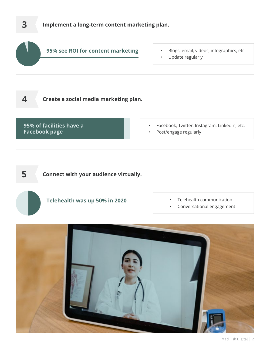

Mad Fish Digital | 2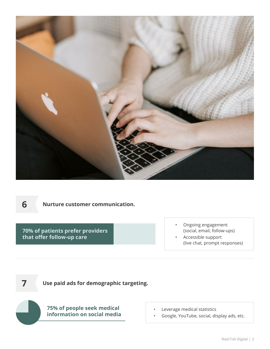

**6 Nurture customer communication.**

**[70%](https://www.accenture.com/us-en) of patients prefer providers that offer follow-up care**

- Ongoing engagement (social, email, follow-ups)
- Accessible support (live chat, prompt responses)

**7 Use paid ads for demographic targeting.**

**[75%](https://getreferralmd.com/2017/01/30-facts-statistics-on-social-media-and-healthcare/) of people seek medical information on social media**

- Leverage medical statistics
- Google, YouTube, social, display ads, etc.